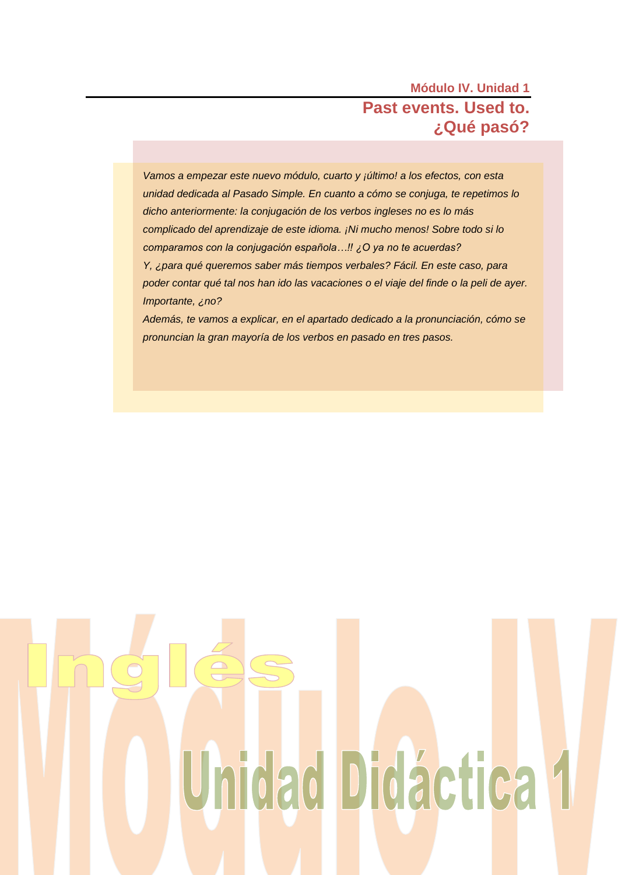# **Módulo IV. Unidad 1 Past events. Used to. ¿Qué pasó?**

*Vamos a empezar este nuevo módulo, cuarto y ¡último! a los efectos, con esta unidad dedicada al Pasado Simple. En cuanto a cómo se conjuga, te repetimos lo dicho anteriormente: la conjugación de los verbos ingleses no es lo más complicado del aprendizaje de este idioma. ¡Ni mucho menos! Sobre todo si lo comparamos con la conjugación española…!! ¿O ya no te acuerdas? Y, ¿para qué queremos saber más tiempos verbales? Fácil. En este caso, para poder contar qué tal nos han ido las vacaciones o el viaje del finde o la peli de ayer. Importante, ¿no?*

*Además, te vamos a explicar, en el apartado dedicado a la pronunciación, cómo se pronuncian la gran mayoría de los verbos en pasado en tres pasos.*

# Unidad Didáctica 1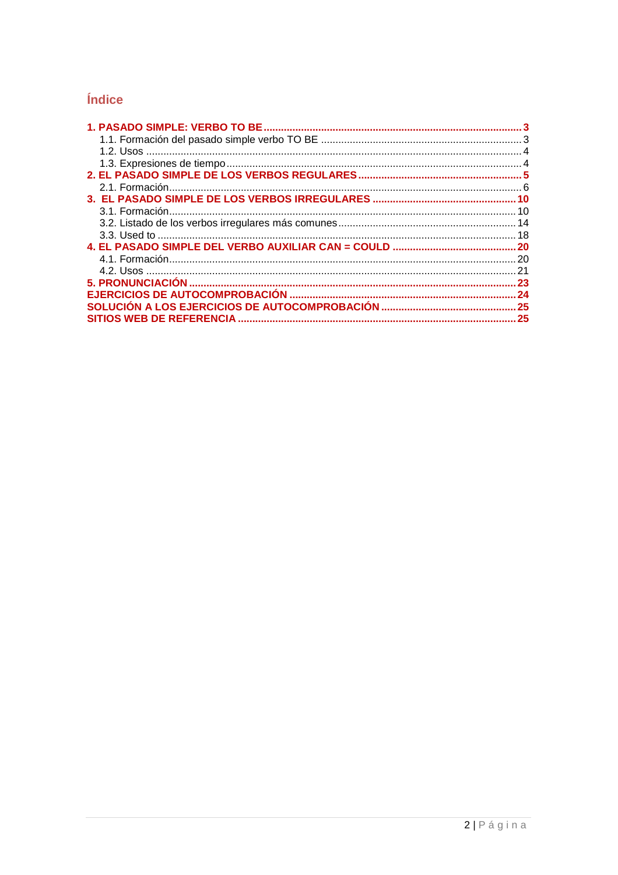# Índice

| SITIOS WEB DE REFERENCIA |  |
|--------------------------|--|
|                          |  |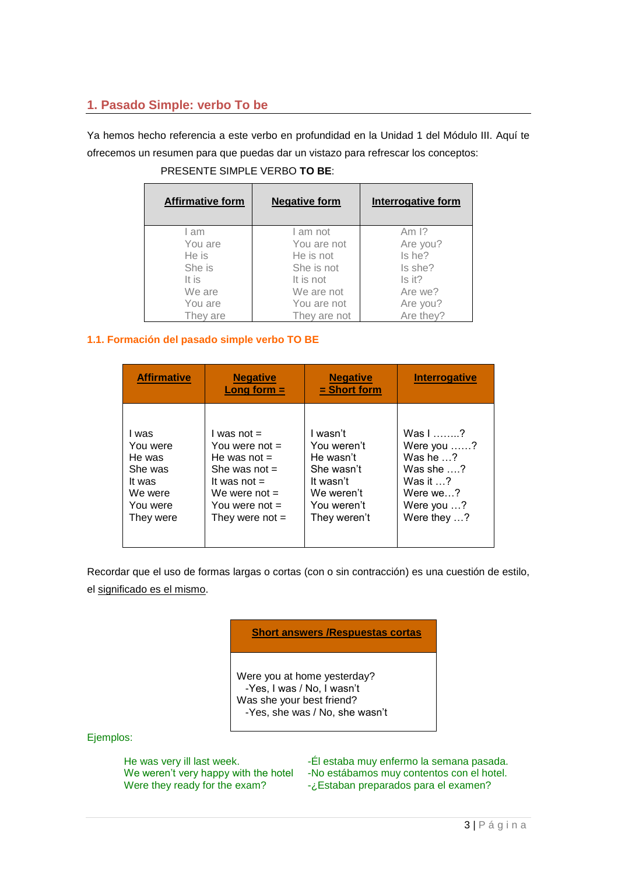# <span id="page-2-0"></span>**1. Pasado Simple: verbo To be**

Ya hemos hecho referencia a este verbo en profundidad en la Unidad 1 del Módulo III. Aquí te ofrecemos un resumen para que puedas dar un vistazo para refrescar los conceptos:

| <b>Affirmative form</b> | <b>Negative form</b> | Interrogative form |
|-------------------------|----------------------|--------------------|
| I am                    | I am not             | Am $12$            |
| You are                 | You are not          | Are you?           |
| He is                   | He is not            | Is he?             |
| She is                  | She is not           | Is she?            |
| It is                   | It is not            | $Is$ it?           |
| We are                  | We are not           | Are we?            |
| You are                 | You are not          | Are you?           |
| They are                | They are not         | Are they?          |

PRESENTE SIMPLE VERBO **TO BE**:

# <span id="page-2-1"></span>**1.1. Formación del pasado simple verbo TO BE**

| <b>Affirmative</b> | <b>Negative</b><br>Long form $=$ | <b>Negative</b><br>= Short form | <b>Interrogative</b> |
|--------------------|----------------------------------|---------------------------------|----------------------|
| l was              | I was not $=$                    | I wasn't                        | Was $1, \ldots, ?$   |
| You were           | You were not $=$                 | You weren't                     | Were you $\dots$ ?   |
| He was             | He was not $=$                   | He wasn't                       | Was he $\sqrt{2}$    |
| She was            | She was not $=$                  | She wasn't                      | Was she $\ldots$ ?   |
| It was             | It was not $=$                   | It wasn't                       | Was it $\ldots$ ?    |
| We were            | We were not $=$                  | We weren't                      | Were we?             |
| You were           | You were not $=$                 | You weren't                     | Were you ?           |
| They were          | They were not $=$                | They weren't                    | Were they $\dots$ ?  |

Recordar que el uso de formas largas o cortas (con o sin contracción) es una cuestión de estilo, el significado es el mismo.

**Short answers /Respuestas cortas**

Were you at home yesterday? -Yes, I was / No, I wasn't Was she your best friend? -Yes, she was / No, she wasn't

Ejemplos:

He was very ill last week.<br>We weren't very happy with the hotel -No estábamos muy contentos con el hotel. -No estábamos muy contentos con el hotel. Were they ready for the exam?  $-2$  Estaban preparados para el examen?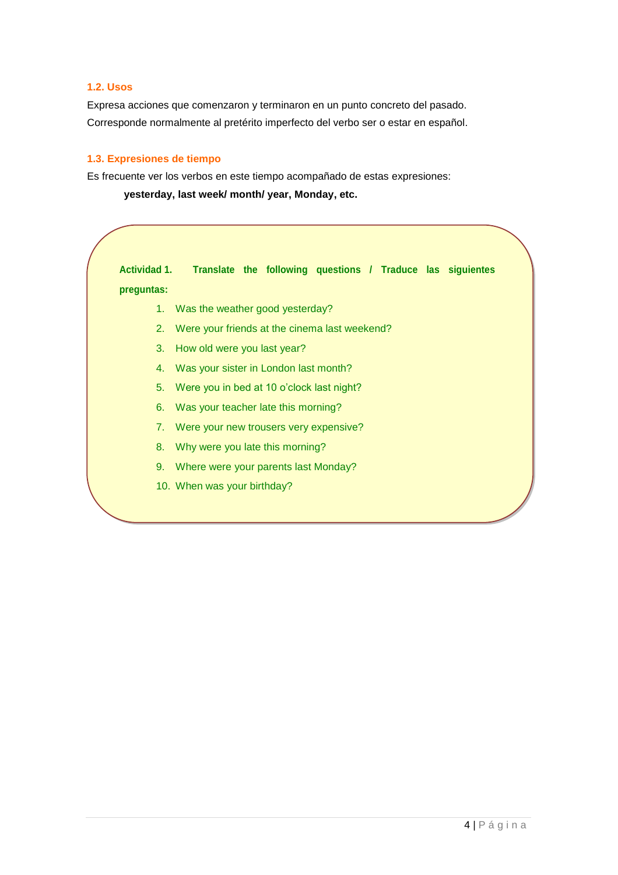# <span id="page-3-0"></span>**1.2. Usos**

Expresa acciones que comenzaron y terminaron en un punto concreto del pasado. Corresponde normalmente al pretérito imperfecto del verbo ser o estar en español.

# <span id="page-3-1"></span>**1.3. Expresiones de tiempo**

Es frecuente ver los verbos en este tiempo acompañado de estas expresiones:

**yesterday, last week/ month/ year, Monday, etc.**

**Actividad 1. Translate the following questions / Traduce las siguientes preguntas:**

- 1. Was the weather good yesterday?
- 2. Were your friends at the cinema last weekend?
- 3. How old were you last year?
- 4. Was your sister in London last month?
- 5. Were you in bed at 10 o'clock last night?
- 6. Was your teacher late this morning?
- 7. Were your new trousers very expensive?
- 8. Why were you late this morning?
- 9. Where were your parents last Monday?
- 10. When was your birthday?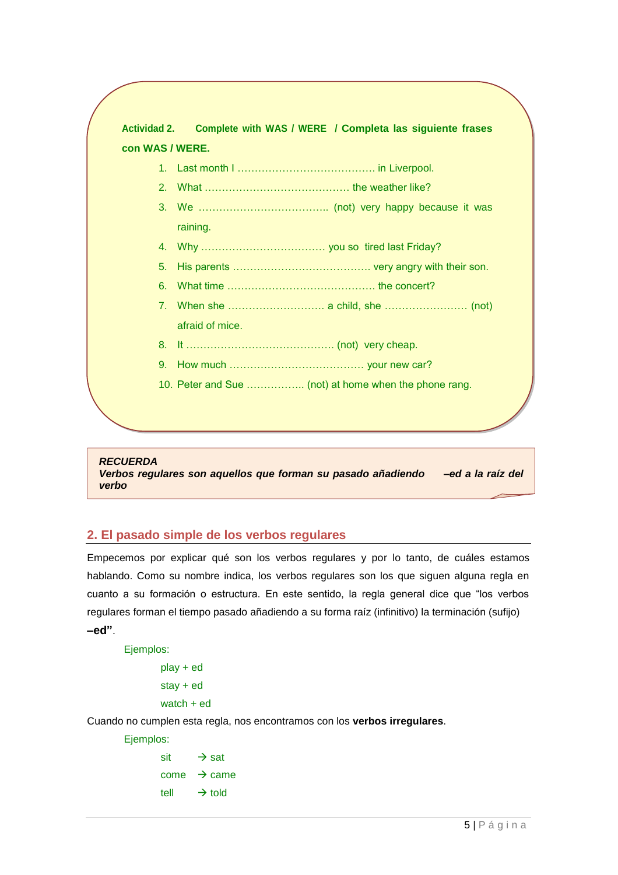|    | raining.                                              |
|----|-------------------------------------------------------|
|    |                                                       |
| 5. |                                                       |
| 6. |                                                       |
|    | afraid of mice.                                       |
|    |                                                       |
| 9. |                                                       |
|    | 10. Peter and Sue  (not) at home when the phone rang. |

# *RECUERDA*

*Verbos regulares son aquellos que forman su pasado añadiendo –ed a la raíz del verbo*

# <span id="page-4-0"></span>**2. El pasado simple de los verbos regulares**

Empecemos por explicar qué son los verbos regulares y por lo tanto, de cuáles estamos hablando. Como su nombre indica, los verbos regulares son los que siguen alguna regla en cuanto a su formación o estructura. En este sentido, la regla general dice que "los verbos regulares forman el tiempo pasado añadiendo a su forma raíz (infinitivo) la terminación (sufijo) **–ed"**.

Ejemplos:

play + ed stay + ed watch + ed

Cuando no cumplen esta regla, nos encontramos con los **verbos irregulares**.

Ejemplos:

 $\sin \theta \rightarrow \text{sat}$  $come$   $\rightarrow$  came tell  $\rightarrow$  told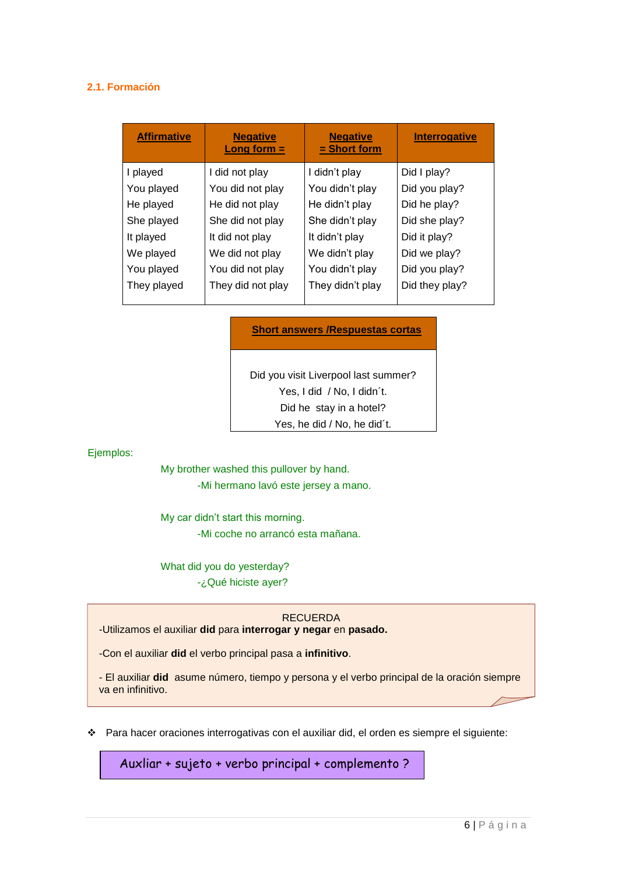# <span id="page-5-0"></span>**2.1. Formación**

| <b>Affirmative</b> | <b>Negative</b><br>Long form $=$ | <b>Negative</b><br>$=$ Short form | <b>Interrogative</b> |
|--------------------|----------------------------------|-----------------------------------|----------------------|
| I played           | I did not play                   | I didn't play                     | Did I play?          |
| You played         | You did not play                 | You didn't play                   | Did you play?        |
| He played          | He did not play                  | He didn't play                    | Did he play?         |
| She played         | She did not play                 | She didn't play                   | Did she play?        |
| It played          | It did not play                  | It didn't play                    | Did it play?         |
| We played          | We did not play                  | We didn't play                    | Did we play?         |
| You played         | You did not play                 | You didn't play                   | Did you play?        |
| They played        | They did not play                | They didn't play                  | Did they play?       |

# **Short answers /Respuestas cortas**

Did you visit Liverpool last summer? Yes, I did / No, I didn´t. Did he stay in a hotel? Yes, he did / No, he did´t.

Ejemplos:

My brother washed this pullover by hand. -Mi hermano lavó este jersey a mano.

My car didn't start this morning. -Mi coche no arrancó esta mañana.

What did you do yesterday? -¿Qué hiciste ayer?

# RECUERDA

```
-Utilizamos el auxiliar did para interrogar y negar en pasado.
```
-Con el auxiliar **did** el verbo principal pasa a **infinitivo**.

- El auxiliar **did** asume número, tiempo y persona y el verbo principal de la oración siempre va en infinitivo.

Para hacer oraciones interrogativas con el auxiliar did, el orden es siempre el siguiente:

Auxliar + sujeto + verbo principal + complemento ?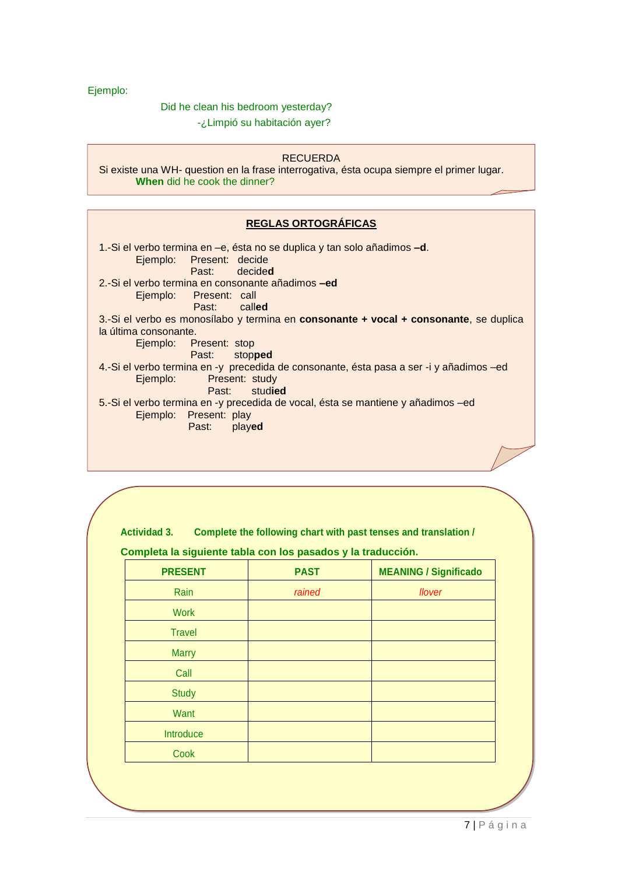Ejemplo:

Did he clean his bedroom yesterday?

-¿Limpió su habitación ayer?

# RECUERDA

Si existe una WH- question en la frase interrogativa, ésta ocupa siempre el primer lugar. **When** did he cook the dinner?

# **REGLAS ORTOGRÁFICAS**

1.-Si el verbo termina en –e, ésta no se duplica y tan solo añadimos **–d**. Ejemplo: Present: decide decided 2.-Si el verbo termina en consonante añadimos **–ed** Ejemplo: Present: call Past: call**ed** 3.-Si el verbo es monosílabo y termina en **consonante + vocal + consonante**, se duplica la última consonante.<br>Ejemplo: P Present: stop Past: stop**ped** 4.-Si el verbo termina en -y precedida de consonante, ésta pasa a ser -i y añadimos –ed Ejemplo: Present: study<br>Past: studie Past: stud**ied** 5.-Si el verbo termina en -y precedida de vocal, ésta se mantiene y añadimos –ed Ejemplo: Present: play<br>Past: playe Past: play**ed**

**Actividad 3. Complete the following chart with past tenses and translation /** 

**Completa la siguiente tabla con los pasados y la traducción.**

| <b>PRESENT</b> | <b>PAST</b> | <b>MEANING / Significado</b> |
|----------------|-------------|------------------------------|
| Rain           | rained      | <b>llover</b>                |
| <b>Work</b>    |             |                              |
| <b>Travel</b>  |             |                              |
| <b>Marry</b>   |             |                              |
| Call           |             |                              |
| <b>Study</b>   |             |                              |
| Want           |             |                              |
| Introduce      |             |                              |
| Cook           |             |                              |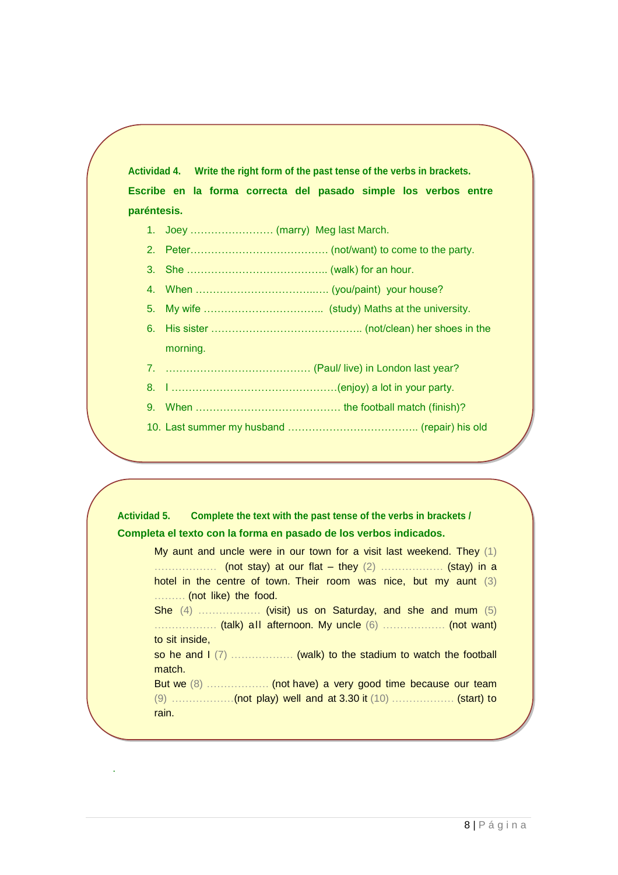**Actividad 4. Write the right form of the past tense of the verbs in brackets. Escribe en la forma correcta del pasado simple los verbos entre paréntesis.**

- 1. Joey …………………… (marry) Meg last March.
- 2. Peter…………………………………. (not/want) to come to the party.
- 3. She ………………………………….. (walk) for an hour.
- 4. When ……………………………..…. (you/paint) your house?
- 5. My wife …………………………….. (study) Maths at the university.
- 6. His sister …………………………………….. (not/clean) her shoes in the morning.
- 7. …………………………………… (Paul/ live) in London last year?
- 8. I …………………………………………(enjoy) a lot in your party.
- 9. When …………………………………… the football match (finish)?
- 10. Last summer my husband ……………………………….. (repair) his old

**Actividad 5. Complete the text with the past tense of the verbs in brackets / Completa el texto con la forma en pasado de los verbos indicados.**

My aunt and uncle were in our town for a visit last weekend. They (1) ……………… (not stay) at our flat – they (2) ……………… (stay) in a hotel in the centre of town. Their room was nice, but my aunt (3) ……… (not like) the food. She (4) ……………… (visit) us on Saturday, and she and mum (5) ……………… (talk) all afternoon. My uncle (6) ……………… (not want) to sit inside, so he and I (7) ………………… (walk) to the stadium to watch the football match. But we (8) ……………… (not have) a very good time because our team (9) ………………(not play) well and at 3.30 it (10) ……………… (start) to

.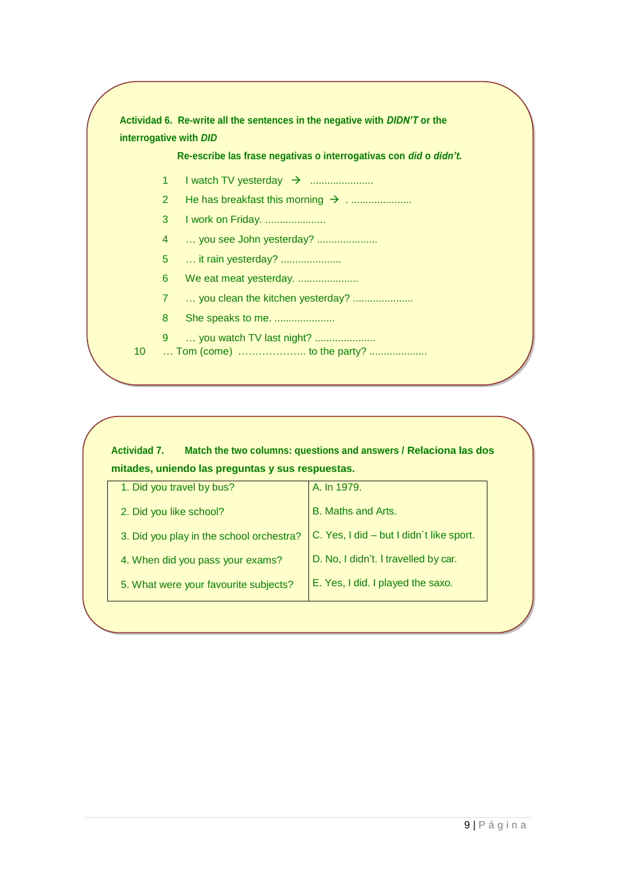

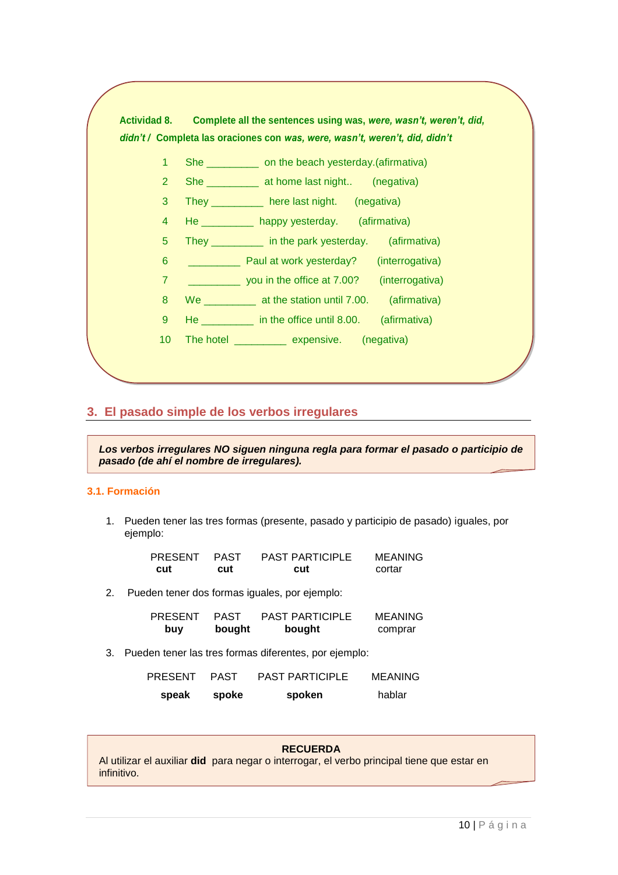

# <span id="page-9-0"></span>**3. El pasado simple de los verbos irregulares**

*Los verbos irregulares NO siguen ninguna regla para formar el pasado o participio de pasado (de ahí el nombre de irregulares).*

# <span id="page-9-1"></span>**3.1. Formación**

1. Pueden tener las tres formas (presente, pasado y participio de pasado) iguales, por ejemplo:

| <b>PRESENT</b> | <b>PAST</b> | <b>PAST PARTICIPLE</b> | MEANING |
|----------------|-------------|------------------------|---------|
| cut            | cut         | cut                    | cortar  |

2. Pueden tener dos formas iguales, por ejemplo:

| <b>PRESENT</b> | <b>PAST</b> | <b>PAST PARTICIPLE</b> | MEANING |
|----------------|-------------|------------------------|---------|
| buy            | bought      | bought                 | comprar |

3. Pueden tener las tres formas diferentes, por ejemplo:

| speak        | spoke | spoken          | hablar  |
|--------------|-------|-----------------|---------|
| PRESENT PAST |       | PAST PARTICIPLE | MEANING |

#### **RECUERDA**

Al utilizar el auxiliar **did** para negar o interrogar, el verbo principal tiene que estar en infinitivo.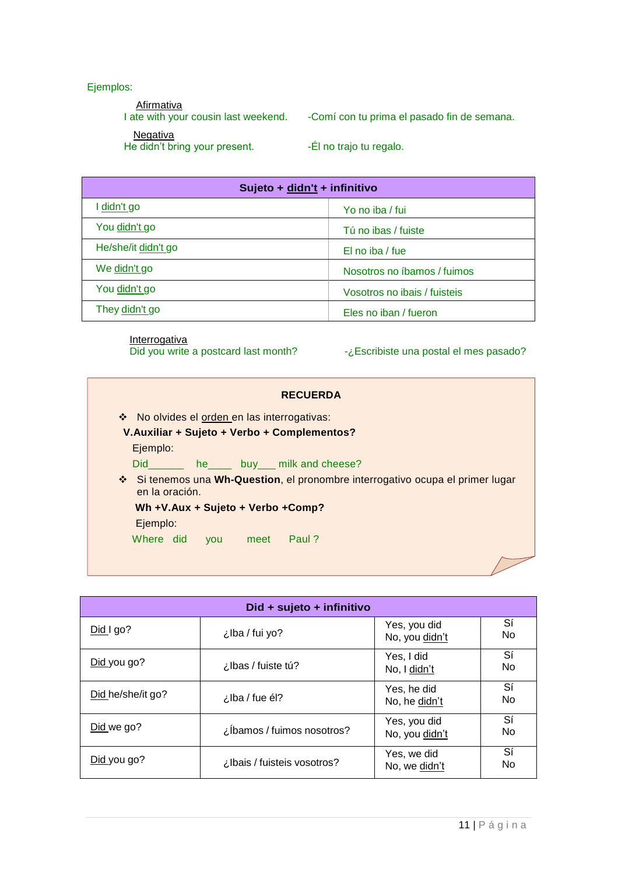Ejemplos:

Afirmativa<br>I ate with your cousin last weekend. **Negativa** 

He didn't bring your present. -Él no trajo tu regalo.

-Comí con tu prima el pasado fin de semana.

| Sujeto + didn't + infinitivo |                              |  |
|------------------------------|------------------------------|--|
| I didn't go                  | Yo no iba / fui              |  |
| You didn't go                | Tú no ibas / fuiste          |  |
| He/she/it didn't go          | El no iba / fue              |  |
| We didn't go                 | Nosotros no íbamos / fuimos  |  |
| You didn't go                | Vosotros no ibais / fuisteis |  |
| They didn't go               | Eles no iban / fueron        |  |

Interrogativa<br>Did you write a postcard last month?

Did you write a postcard last month? -¿Escribiste una postal el mes pasado?

# **RECUERDA**

No olvides el orden en las interrogativas:

 **V.Auxiliar + Sujeto + Verbo + Complementos?** Ejemplo:

Did\_\_\_\_\_\_ he\_\_\_\_ buy\_\_\_ milk and cheese?

 Si tenemos una **Wh-Question**, el pronombre interrogativo ocupa el primer lugar en la oración.

 **Wh +V.Aux + Sujeto + Verbo +Comp?**

Ejemplo:

Where did you meet Paul?

| Did + sujeto + infinitivo |                             |                                |          |  |
|---------------------------|-----------------------------|--------------------------------|----------|--|
| $Did$ I go?               | ¿lba / fui yo?              | Yes, you did<br>No, you didn't | Sí<br>No |  |
| Did you go?               | ¿lbas / fuiste tú?          | Yes, I did<br>No, I didn't     | Sí<br>No |  |
| Did he/she/it go?         | ¿lba / fue él?              | Yes, he did<br>No, he didn't   | Sí<br>No |  |
| Did we go?                | ¿Íbamos / fuimos nosotros?  | Yes, you did<br>No, you didn't | Sí<br>No |  |
| Did you go?               | ¿Ibais / fuisteis vosotros? | Yes, we did<br>No, we didn't   | Sí<br>No |  |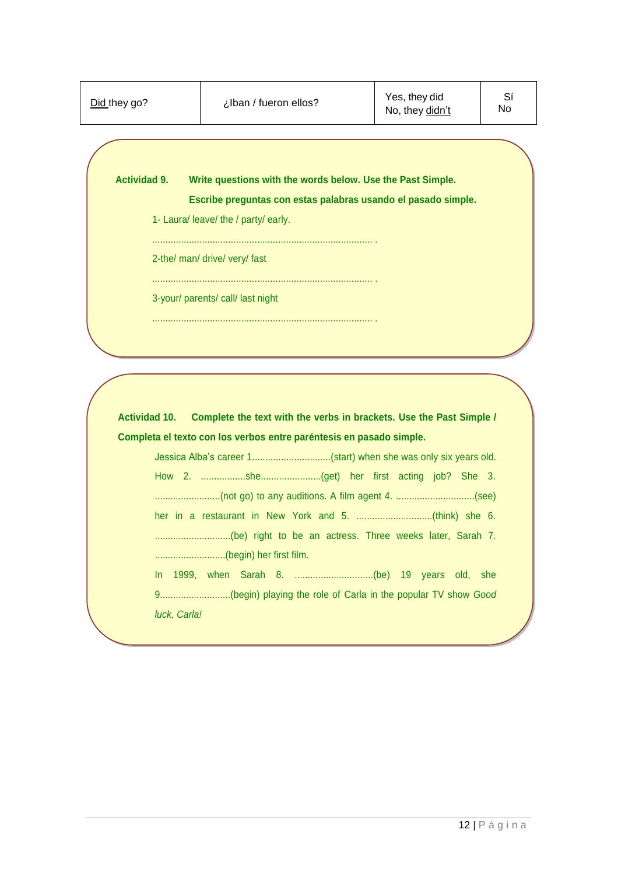**Actividad 9. Write questions with the words below. Use the Past Simple.** 

**Escribe preguntas con estas palabras usando el pasado simple.**

1- Laura/ leave/ the / party/ early.

.................................................................................... .

2-the/ man/ drive/ very/ fast

.................................................................................... .

3-your/ parents/ call/ last night

.................................................................................... .

**Actividad 10. Complete the text with the verbs in brackets. Use the Past Simple / Completa el texto con los verbos entre paréntesis en pasado simple.**

| Jessica Alba's career 1(start) when she was only six years old. |
|-----------------------------------------------------------------|
|                                                                 |
|                                                                 |
|                                                                 |
|                                                                 |
|                                                                 |
|                                                                 |
|                                                                 |
| luck, Carla!                                                    |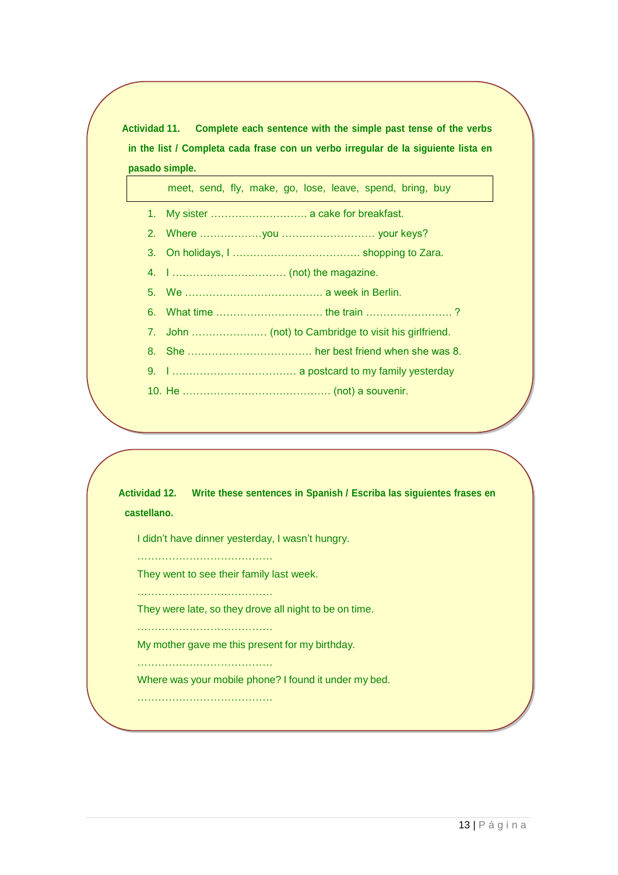**Actividad 11. Complete each sentence with the simple past tense of the verbs in the list / Completa cada frase con un verbo irregular de la siguiente lista en pasado simple.**

meet, send, fly, make, go, lose, leave, spend, bring, buy

- 1. My sister ………………………. a cake for breakfast.
- 2. Where ………………you ……………………… your keys?
- 3. On holidays, I ………………………………. shopping to Zara.
- 4. I …………………………… (not) the magazine.
- 5. We …………………………………. a week in Berlin.
- 6. What time …………………………. the train ……………………. ?
- 7. John ……………….… (not) to Cambridge to visit his girlfriend.
- 8. She ……………………………… her best friend when she was 8.
- 9. I ……………………………… a postcard to my family yesterday
- 10. He ……………………………………. (not) a souvenir.

**Actividad 12. Write these sentences in Spanish / Escriba las siguientes frases en castellano.**

I didn't have dinner yesterday, I wasn't hungry.

…………………………………

They went to see their family last week.

…………………………………

They were late, so they drove all night to be on time.

…………………………………

My mother gave me this present for my birthday.

…………………………………

Where was your mobile phone? I found it under my bed.

…………………………………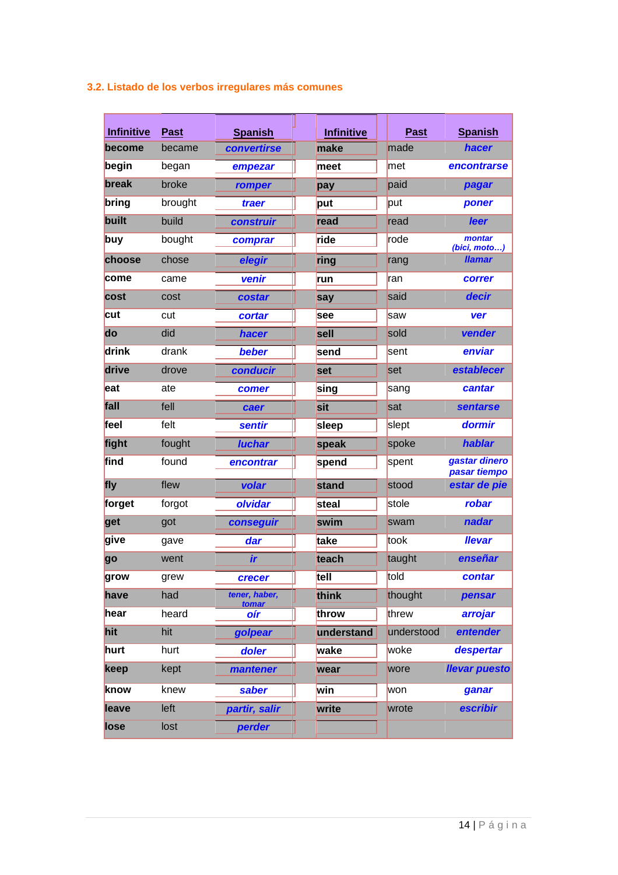# <span id="page-13-0"></span>**3.2. Listado de los verbos irregulares más comunes**

| <b>Infinitive</b> | <b>Past</b> | <b>Spanish</b>                | <b>Infinitive</b> | <b>Past</b> | <b>Spanish</b>                |
|-------------------|-------------|-------------------------------|-------------------|-------------|-------------------------------|
| become            | became      | convertirse                   | make              | made        | hacer                         |
| begin             | began       | empezar                       | meet              | met         | encontrarse                   |
| break             | broke       | romper                        | pay               | paid        | pagar                         |
| bring             | brought     | traer                         | put               | put         | poner                         |
| built             | build       | <b>construir</b>              | read              | read        | leer                          |
| buy               | bought      | comprar                       | ride              | rode        | montar<br>(bici, moto)        |
| choose            | chose       | elegir                        | ring              | rang        | <b>Ilamar</b>                 |
| come              | came        | venir                         | run               | ran         | correr                        |
| cost              | cost        | costar                        | say               | said        | decir                         |
| cut               | cut         | cortar                        | see               | saw         | ver                           |
| do                | did         | hacer                         | sell              | sold        | vender                        |
| drink             | drank       | beber                         | send              | sent        | enviar                        |
| drive             | drove       | conducir                      | set               | set         | establecer                    |
| eat               | ate         | comer                         | sing              | sang        | cantar                        |
| fall              | fell        | caer                          | sit               | sat         | <b>sentarse</b>               |
| feel              | felt        | <b>sentir</b>                 | sleep             | slept       | dormir                        |
| fight             | fought      | <b>luchar</b>                 | speak             | spoke       | hablar                        |
| find              | found       | encontrar                     | spend             | spent       | gastar dinero<br>pasar tiempo |
| fly               | flew        | volar                         | stand             | stood       | estar de pie                  |
| forget            | forgot      | olvidar                       | steal             | stole       | robar                         |
| get               | got         | conseguir                     | swim              | swam        | nadar                         |
| give              | gave        | dar                           | take              | took        | <b>Ilevar</b>                 |
| go                | went        | ir                            | teach             | taught      | enseñar                       |
| grow              | grew        | crecer                        | tell              | told        | contar                        |
| have              | had         | tener, haber,<br><b>tomar</b> | think             | thought     | pensar                        |
| hear              | heard       | oír                           | throw             | threw       | arrojar                       |
| hit               | hit         | golpear                       | understand        | understood  | entender                      |
| hurt              | hurt        | doler                         | wake              | woke        | despertar                     |
| keep              | kept        | mantener                      | wear              | wore        | <b>Ilevar puesto</b>          |
| know              | knew        | saber                         | win               | won         | ganar                         |
| leave             | left        | partir, salir                 | write             | wrote       | escribir                      |
| lose              | lost        | perder                        |                   |             |                               |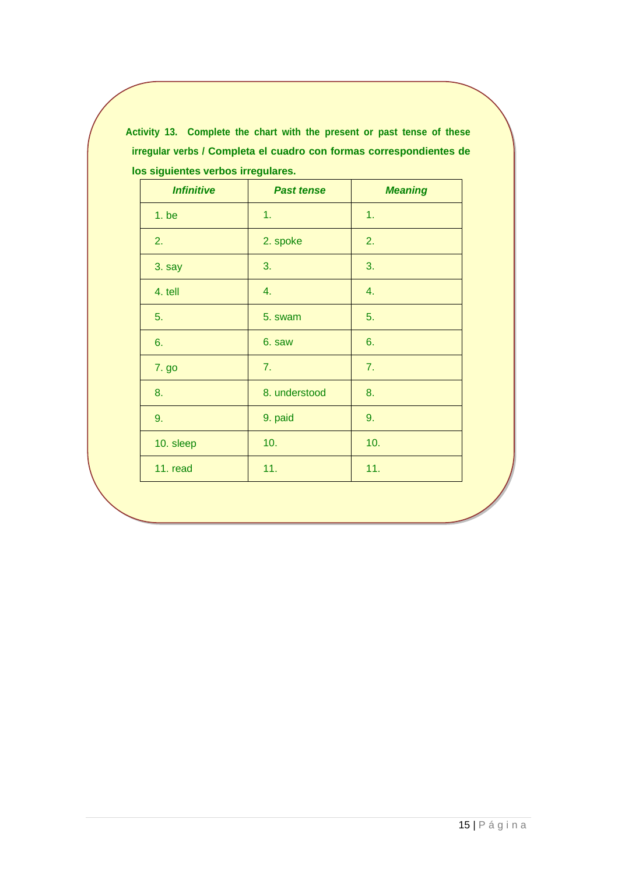| <b>Infinitive</b> | <b>Past tense</b> | <b>Meaning</b> |
|-------------------|-------------------|----------------|
| 1. be             | 1.                | 1.             |
| 2.                | 2. spoke          | 2.             |
| 3. say            | 3.                | 3.             |
| 4. tell           | 4.                | 4.             |
| 5.                | 5. swam           | 5.             |
| 6.                | 6. saw            | 6.             |
| 7. go             | 7.                | 7.             |
| 8.                | 8. understood     | 8.             |
| 9.                | 9. paid           | 9.             |
| 10. sleep         | 10.               | 10.            |
| 11. read          | 11.               | 11.            |

**Activity 13. Complete the chart with the present or past tense of these irregular verbs / Completa el cuadro con formas correspondientes de los siguientes verbos irregulares.**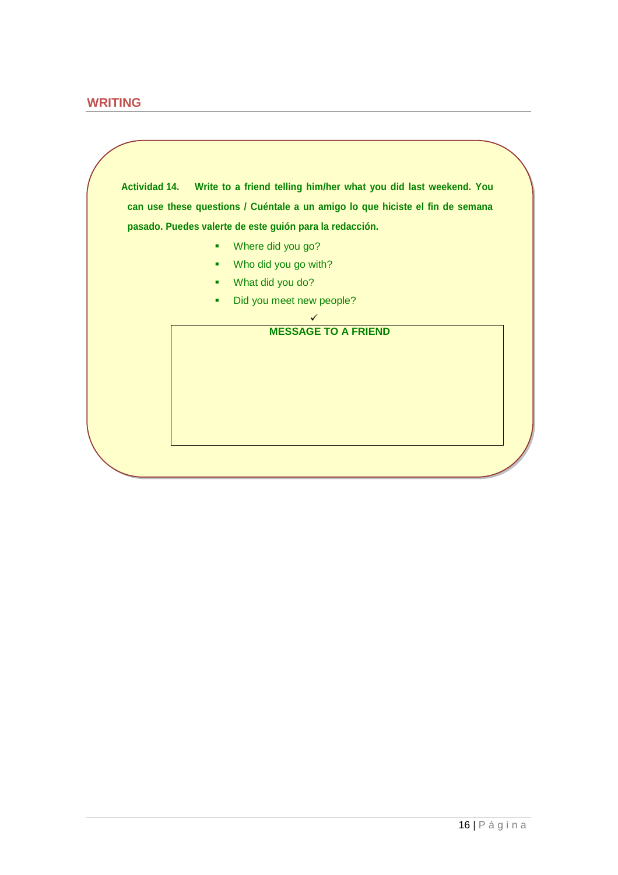# **WRITING**

**Actividad 14. Write to a friend telling him/her what you did last weekend. You can use these questions / Cuéntale a un amigo lo que hiciste el fin de semana pasado. Puedes valerte de este guión para la redacción. •** Where did you go? Who did you go with? **What did you do?** Did you meet new people?  $\checkmark$ **MESSAGE TO A FRIEND**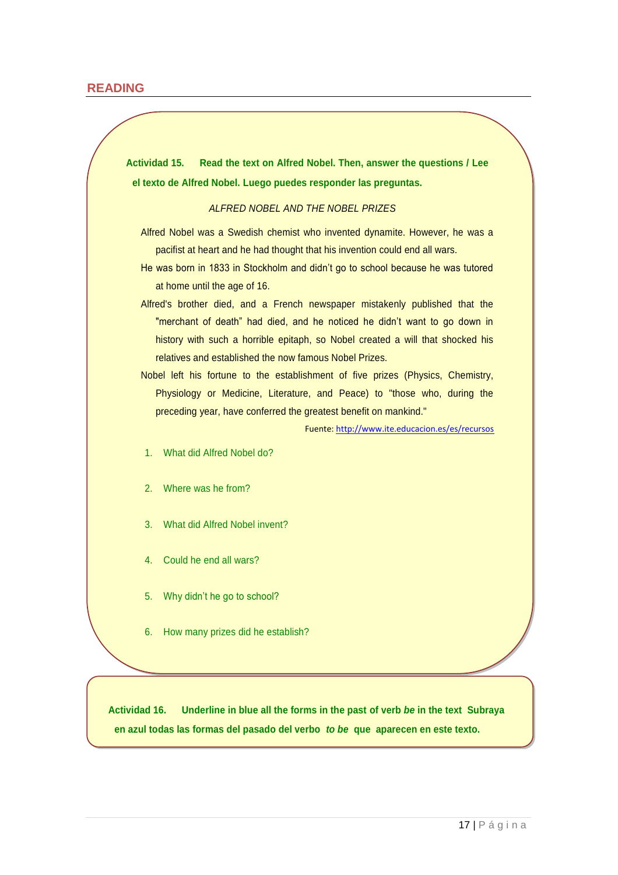# **READING**

**Actividad 15. Read the text on Alfred Nobel. Then, answer the questions / Lee el texto de Alfred Nobel. Luego puedes responder las preguntas.**

#### *ALFRED NOBEL AND THE NOBEL PRIZES*

- Alfred Nobel was a Swedish chemist who invented dynamite. However, he was a pacifist at heart and he had thought that his invention could end all wars.
- He was born in 1833 in Stockholm and didn't go to school because he was tutored at home until the age of 16.
- Alfred's brother died, and a French newspaper mistakenly published that the "merchant of death" had died, and he noticed he didn't want to go down in history with such a horrible epitaph, so Nobel created a will that shocked his relatives and established the now famous Nobel Prizes.
- Nobel left his fortune to the establishment of five prizes (Physics, Chemistry, Physiology or Medicine, Literature, and Peace) to "those who, during the preceding year, have conferred the greatest benefit on mankind."

Fuente[: http://www.ite.educacion.es/es/recursos](http://www.ite.educacion.es/es/recursos)

- 1. What did Alfred Nobel do?
- 2. Where was he from?
- 3. What did Alfred Nobel invent?
- 4. Could he end all wars?
- 5. Why didn't he go to school?
- 6. How many prizes did he establish?

**Actividad 16. Underline in blue all the forms in the past of verb** *be* **in the text Subraya en azul todas las formas del pasado del verbo** *to be* **que aparecen en este texto.**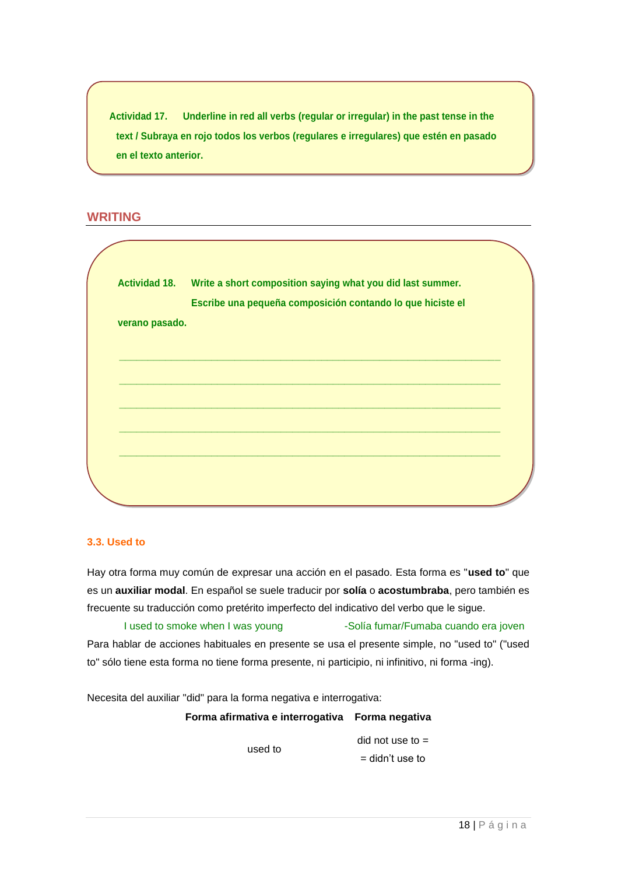**Actividad 17. Underline in red all verbs (regular or irregular) in the past tense in the text / Subraya en rojo todos los verbos (regulares e irregulares) que estén en pasado en el texto anterior.**

# **WRITING**

|                | Actividad 18. Write a short composition saying what you did last summer. |
|----------------|--------------------------------------------------------------------------|
|                | Escribe una pequeña composición contando lo que hiciste el               |
| verano pasado. |                                                                          |
|                |                                                                          |
|                |                                                                          |
|                |                                                                          |
|                |                                                                          |
|                |                                                                          |
|                |                                                                          |
|                |                                                                          |
|                |                                                                          |

# <span id="page-17-0"></span>**3.3. Used to**

Hay otra forma muy común de expresar una acción en el pasado. Esta forma es "**used to**" que es un **[auxiliar modal](http://www.vitutor.com/gramatica_inglesa/modal_verbs/modal_verbs.html)**. En español se suele traducir por **solía** o **acostumbraba**, pero también es frecuente su traducción como pretérito imperfecto del indicativo del verbo que le sigue.

# I used to smoke when I was young -Solía fumar/Fumaba cuando era joven Para hablar de acciones habituales en presente se usa el presente simple, no "used to" ("used to" sólo tiene esta forma no tiene forma presente, ni participio, ni infinitivo, ni forma -ing).

Necesita del auxiliar "did" para la forma negativa e interrogativa:

# **Forma afirmativa e interrogativa Forma negativa**

used to

did not use to =  $=$  didn't use to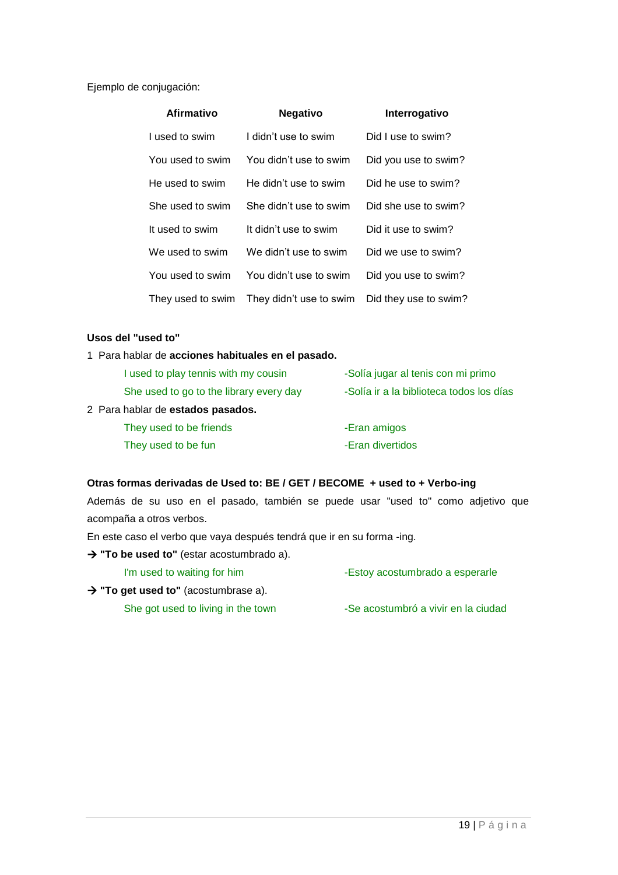Ejemplo de conjugación:

| Afirmativo       | <b>Negativo</b>                           | Interrogativo         |
|------------------|-------------------------------------------|-----------------------|
| I used to swim   | I didn't use to swim                      | Did I use to swim?    |
| You used to swim | You didn't use to swim                    | Did you use to swim?  |
| He used to swim  | He didn't use to swim                     | Did he use to swim?   |
| She used to swim | She didn't use to swim                    | Did she use to swim?  |
| It used to swim  | It didn't use to swim                     | Did it use to swim?   |
| We used to swim  | We didn't use to swim                     | Did we use to swim?   |
| You used to swim | You didn't use to swim                    | Did you use to swim?  |
|                  | They used to swim They didn't use to swim | Did they use to swim? |

# **Usos del "used to"**

| 1 Para hablar de acciones habituales en el pasado. |                                          |
|----------------------------------------------------|------------------------------------------|
| I used to play tennis with my cousin               | -Solía jugar al tenis con mi primo       |
| She used to go to the library every day            | -Solía ir a la biblioteca todos los días |
| 2 Para hablar de estados pasados.                  |                                          |
| They used to be friends                            | -Eran amigos                             |
| They used to be fun                                | -Eran divertidos                         |

# **Otras formas derivadas de Used to: BE / GET / BECOME + used to + Verbo-ing**

Además de su uso en el pasado, también se puede usar "used to" como adjetivo que acompaña a otros verbos.

En este caso el verbo que vaya después tendrá que ir en su forma -ing.

→ "**To be used to**" (estar acostumbrado a).

| I'm used to waiting for him | -Estoy acostumbrado a esperarle |  |
|-----------------------------|---------------------------------|--|
|                             |                                 |  |

→ "**To get used to**" (acostumbrase a).

She got used to living in the town -Se acostumbró a vivir en la ciudad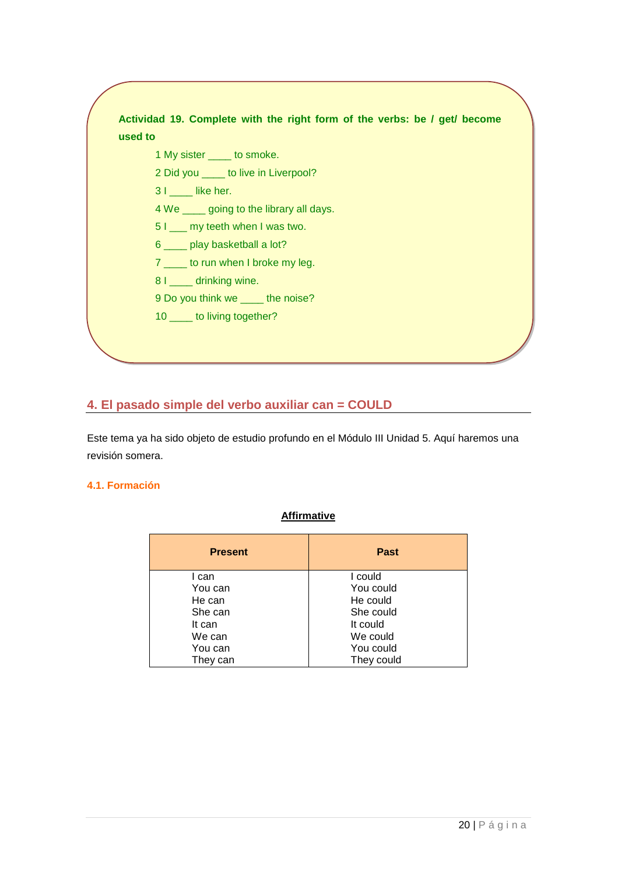| used to                                    |
|--------------------------------------------|
| 1 My sister _____ to smoke.                |
| 2 Did you _____ to live in Liverpool?      |
| 31 like her.                               |
| 4 We sample going to the library all days. |
| 51 __ my teeth when I was two.             |
| 6 ____ play basketball a lot?              |
| 7 ____ to run when I broke my leg.         |
| 8 I _____ drinking wine.                   |
| 9 Do you think we ______ the noise?        |
| 10 _____ to living together?               |

# <span id="page-19-0"></span>**4. El pasado simple del verbo auxiliar can = COULD**

Este tema ya ha sido objeto de estudio profundo en el Módulo III Unidad 5. Aquí haremos una revisión somera.

# <span id="page-19-1"></span>**4.1. Formación**

# **Affirmative**

| <b>Present</b> | <b>Past</b> |
|----------------|-------------|
| I can          | I could     |
| You can        | You could   |
| He can         | He could    |
| She can        | She could   |
| It can         | It could    |
| We can         | We could    |
| You can        | You could   |
| They can       | They could  |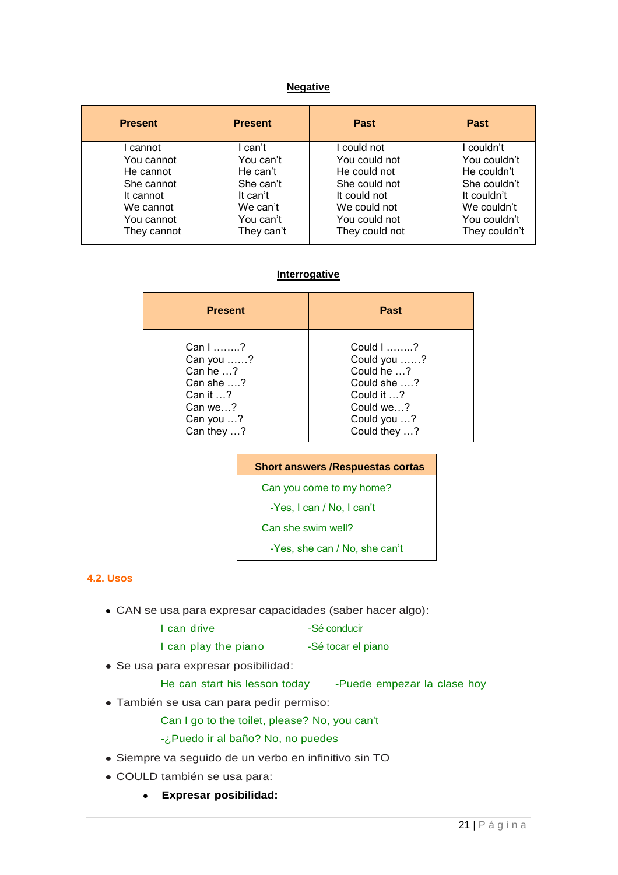# **Negative**

| <b>Present</b> | <b>Present</b> | <b>Past</b>    | <b>Past</b>   |
|----------------|----------------|----------------|---------------|
| cannot         | I can't        | l could not    | couldn't      |
| You cannot     | You can't      | You could not  | You couldn't  |
| He cannot      | He can't       | He could not   | He couldn't   |
| She cannot     | She can't      | She could not  | She couldn't  |
| It cannot      | It can't       | It could not   | It couldn't   |
| We cannot      | We can't       | We could not   | We couldn't   |
| You cannot     | You can't      | You could not  | You couldn't  |
| They cannot    | They can't     | They could not | They couldn't |

# **Interrogative**

| <b>Present</b>    | <b>Past</b>  |
|-------------------|--------------|
| Can I ………?        | Could I ?    |
| Can you ?         | Could you ?  |
| Can he $\ldots$ ? | Could he ?   |
| Can she $\dots$ ? | Could she ?  |
| Can it $\ldots$ ? | Could it ?   |
| Can we?           | Could we?    |
| Can you ?         | Could you ?  |
| Can they ?        | Could they ? |

# **Short answers /Respuestas cortas**

Can you come to my home?

-Yes, I can / No, I can't

Can she swim well?

-Yes, she can / No, she can't

# <span id="page-20-0"></span>**4.2. Usos**

CAN se usa para expresar capacidades (saber hacer algo):

| I can drive          | -Sé conducir       |
|----------------------|--------------------|
| I can play the piano | -Sé tocar el piano |

Se usa para expresar posibilidad:

He can start his lesson today -Puede empezar la clase hoy

También se usa can para pedir permiso:

Can I go to the toilet, please? No, you can't

-¿Puedo ir al baño? No, no puedes

- Siempre va seguido de un verbo en infinitivo sin TO
- COULD también se usa para:
	- **Expresar posibilidad:** $\bullet$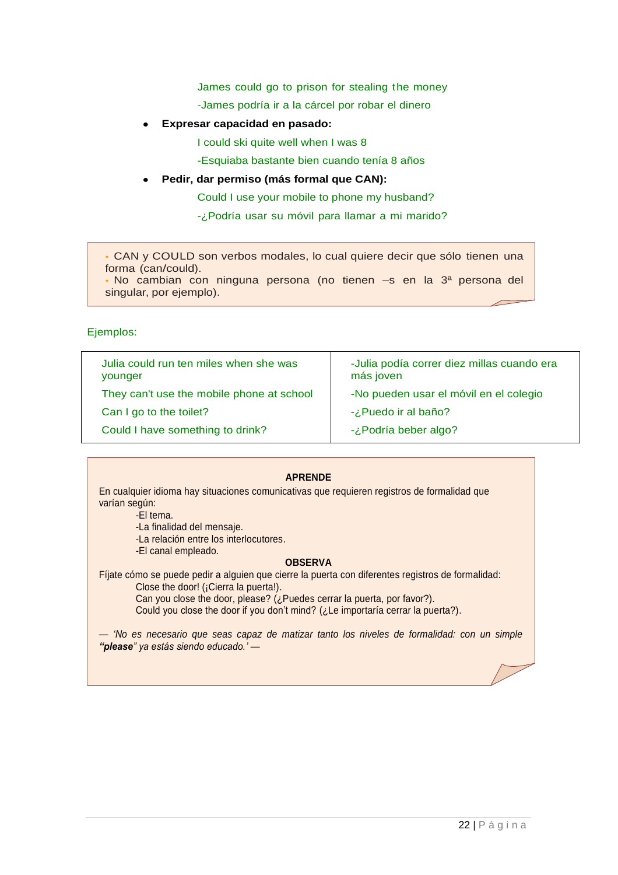James could go to prison for stealing the money

-James podría ir a la cárcel por robar el dinero

**Expresar capacidad en pasado:** 

I could ski quite well when I was 8

-Esquiaba bastante bien cuando tenía 8 años

# **Pedir, dar permiso (más formal que CAN):**

Could I use your mobile to phone my husband?

-¿Podría usar su móvil para llamar a mi marido?

• CAN y COULD son verbos modales, lo cual quiere decir que sólo tienen una forma (can/could).

• No cambian con ninguna persona (no tienen –s en la 3ª persona del singular, por ejemplo).

# Ejemplos:

| Julia could run ten miles when she was<br>younger | -Julia podía correr diez millas cuando era<br>más joven |
|---------------------------------------------------|---------------------------------------------------------|
| They can't use the mobile phone at school         | -No pueden usar el móvil en el colegio                  |
| Can I go to the toilet?                           | -¿Puedo ir al baño?                                     |
| Could I have something to drink?                  | -¿Podría beber algo?                                    |
|                                                   |                                                         |

#### **APRENDE**

En cualquier idioma hay situaciones comunicativas que requieren registros de formalidad que varían según:

-El tema.

-La finalidad del mensaje.

-La relación entre los interlocutores.

-El canal empleado.

#### **OBSERVA**

Fíjate cómo se puede pedir a alguien que cierre la puerta con diferentes registros de formalidad: Close the door! (¡Cierra la puerta!).

Can you close the door, please? (¿Puedes cerrar la puerta, por favor?).

Could you close the door if you don't mind? (¿Le importaría cerrar la puerta?).

*— 'No es necesario que seas capaz de matizar tanto los niveles de formalidad: con un simple "please" ya estás siendo educado.' —*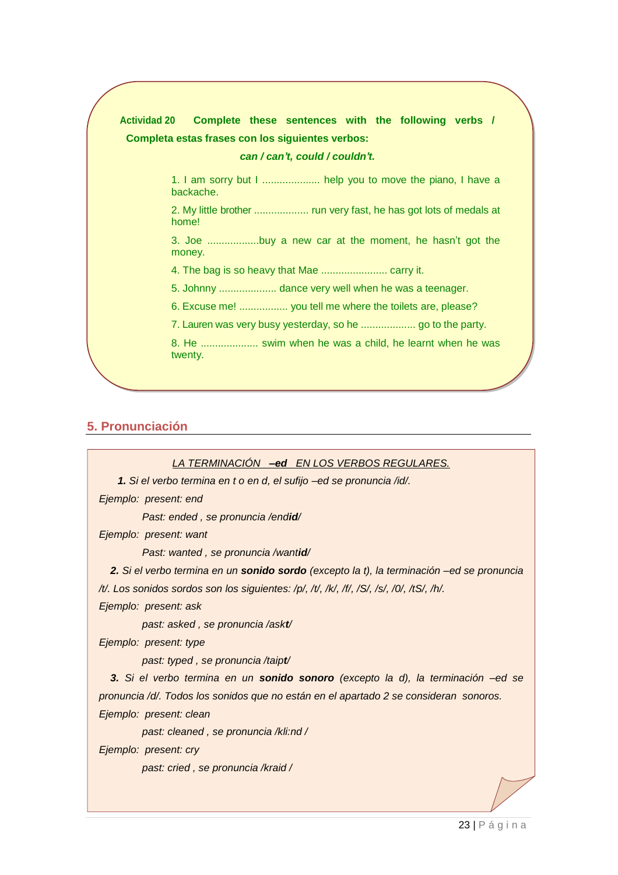**Actividad 20 Complete these sentences with the following verbs / Completa estas frases con los siguientes verbos:**

#### *can / can't, could / couldn't.*

1. I am sorry but I .................... help you to move the piano, I have a backache.

2. My little brother ................... run very fast, he has got lots of medals at home!

3. Joe ..................buy a new car at the moment, he hasn't got the money.

4. The bag is so heavy that Mae ....................... carry it.

5. Johnny .................... dance very well when he was a teenager.

6. Excuse me! ................. you tell me where the toilets are, please?

7. Lauren was very busy yesterday, so he ......................... go to the party.

8. He .................... swim when he was a child, he learnt when he was twenty.

# <span id="page-22-0"></span>**5. Pronunciación**

*LA TERMINACIÓN –ed EN LOS VERBOS REGULARES.*

*1. Si el verbo termina en t o en d, el sufijo –ed se pronuncia /id/.*

*Ejemplo: present: end*

 *Past: ended , se pronuncia /endid/*

*Ejemplo: present: want*

 *Past: wanted , se pronuncia /wantid/*

 *2. Si el verbo termina en un sonido sordo (excepto la t), la terminación –ed se pronuncia /t/. Los sonidos sordos son los siguientes: /p/, /t/, /k/, /f/, /S/, /s/, /0/, /tS/, /h/.*

*Ejemplo: present: ask*

 *past: asked , se pronuncia /askt/*

*Ejemplo: present: type*

 *past: typed , se pronuncia /taipt/*

 *3. Si el verbo termina en un sonido sonoro (excepto la d), la terminación –ed se pronuncia /d/. Todos los sonidos que no están en el apartado 2 se consideran sonoros. Ejemplo: present: clean*

 *past: cleaned , se pronuncia /kli:nd /*

*Ejemplo: present: cry*

 *past: cried , se pronuncia /kraid /*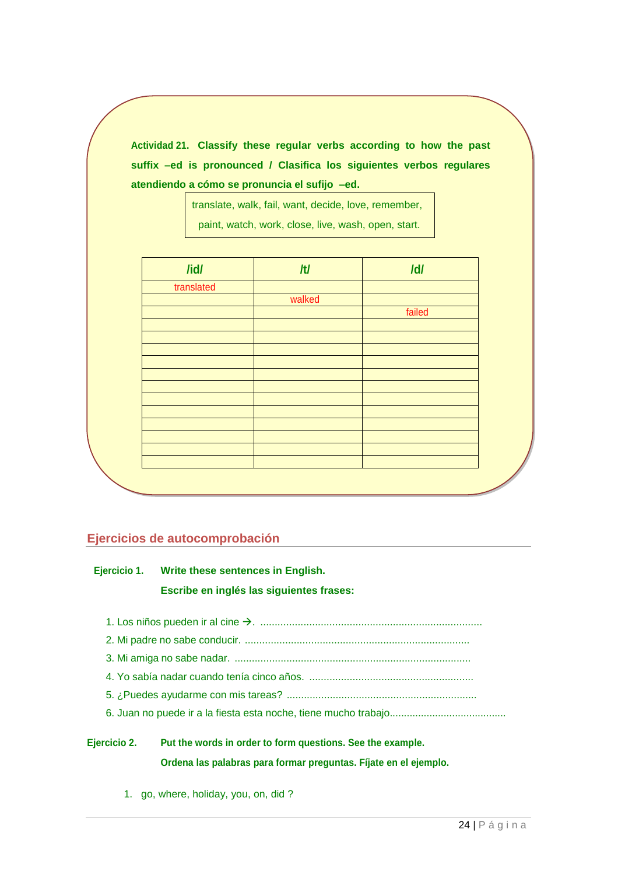**Actividad 21. Classify these regular verbs according to how the past suffix –ed is pronounced / Clasifica los siguientes verbos regulares atendiendo a cómo se pronuncia el sufijo –ed.**

> translate, walk, fail, want, decide, love, remember, paint, watch, work, close, live, wash, open, start.

| /id/       | H      | $\overline{Id}$ |
|------------|--------|-----------------|
| translated |        |                 |
|            | walked |                 |
|            |        | failed          |
|            |        |                 |
|            |        |                 |
|            |        |                 |
|            |        |                 |
|            |        |                 |
|            |        |                 |
|            |        |                 |
|            |        |                 |
|            |        |                 |
|            |        |                 |
|            |        |                 |
|            |        |                 |

# <span id="page-23-0"></span>**Ejercicios de autocomprobación**

# **Ejercicio 1. Write these sentences in English.**

# **Escribe en inglés las siguientes frases:**

- 1. Los niños pueden ir al cine . .............................................................................
- 2. Mi padre no sabe conducir. ..............................................................................
- 3. Mi amiga no sabe nadar. ..................................................................................
- 4. Yo sabía nadar cuando tenía cinco años. .........................................................
- 5. ¿Puedes ayudarme con mis tareas? ..................................................................
- 6. Juan no puede ir a la fiesta esta noche, tiene mucho trabajo.........................................

# **Ejercicio 2. Put the words in order to form questions. See the example. Ordena las palabras para formar preguntas. Fíjate en el ejemplo.**

1. go, where, holiday, you, on, did ?